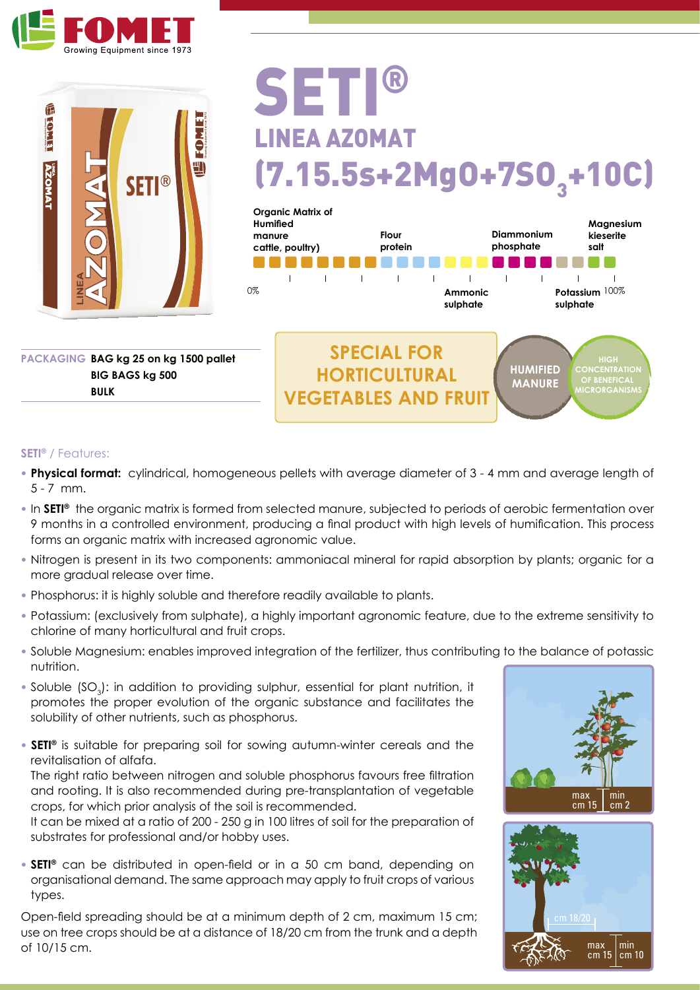



## SETI LINEA AZOMAT  $(7.15.5s+2Mg0+7SO<sub>3</sub>+10C)$



**BULK**

**PACKAGING BAG kg 25 on kg 1500 pallet BIG BAGS kg 500** 

## **SETI®** / Features:

- **• Physical format:** cylindrical, homogeneous pellets with average diameter of 3 4 mm and average length of 5 - 7 mm.
- **•** In **SETI®** the organic matrix is formed from selected manure, subjected to periods of aerobic fermentation over 9 months in a controlled environment, producing a final product with high levels of humification. This process forms an organic matrix with increased agronomic value.
- **•** Nitrogen is present in its two components: ammoniacal mineral for rapid absorption by plants; organic for a more gradual release over time.
- **•** Phosphorus: it is highly soluble and therefore readily available to plants.
- **•** Potassium: (exclusively from sulphate), a highly important agronomic feature, due to the extreme sensitivity to chlorine of many horticultural and fruit crops.
- **•** Soluble Magnesium: enables improved integration of the fertilizer, thus contributing to the balance of potassic nutrition.
- Soluble (SO<sub>3</sub>): in addition to providing sulphur, essential for plant nutrition, it promotes the proper evolution of the organic substance and facilitates the solubility of other nutrients, such as phosphorus.
- **SETI®** is suitable for preparing soil for sowing autumn-winter cereals and the revitalisation of alfafa.

The right ratio between nitrogen and soluble phosphorus favours free filtration and rooting. It is also recommended during pre-transplantation of vegetable crops, for which prior analysis of the soil is recommended.

It can be mixed at a ratio of 200 - 250 g in 100 litres of soil for the preparation of substrates for professional and/or hobby uses.

**• SETI®** can be distributed in open-field or in a 50 cm band, depending on organisational demand. The same approach may apply to fruit crops of various types.

Open-field spreading should be at a minimum depth of 2 cm, maximum 15 cm; use on tree crops should be at a distance of 18/20 cm from the trunk and a depth of 10/15 cm.